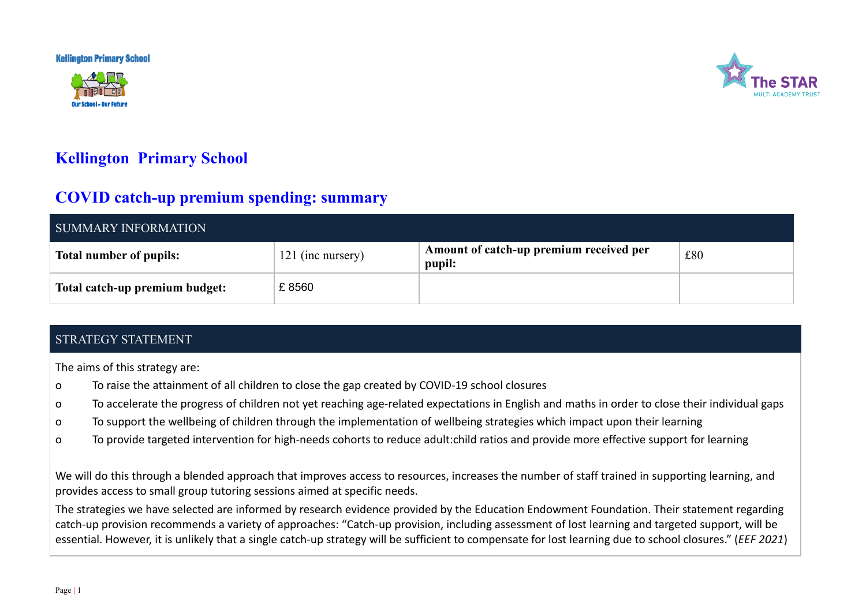**Kellington Primary School** 





## **Kellington Primary School**

## **COVID catch-up premium spending: summary**

| SUMMARY INFORMATION            |                   |                                                   |     |  |
|--------------------------------|-------------------|---------------------------------------------------|-----|--|
| <b>Total number of pupils:</b> | 121 (inc nursery) | Amount of catch-up premium received per<br>pupil: | £80 |  |
| Total catch-up premium budget: | £8560             |                                                   |     |  |

## STRATEGY STATEMENT

The aims of this strategy are:

- o To raise the attainment of all children to close the gap created by COVID-19 school closures
- o To accelerate the progress of children not yet reaching age-related expectations in English and maths in order to close their individual gaps
- o To support the wellbeing of children through the implementation of wellbeing strategies which impact upon their learning
- o To provide targeted intervention for high-needs cohorts to reduce adult:child ratios and provide more effective support for learning

We will do this through a blended approach that improves access to resources, increases the number of staff trained in supporting learning, and provides access to small group tutoring sessions aimed at specific needs.

The strategies we have selected are informed by research evidence provided by the Education Endowment Foundation. Their statement regarding catch-up provision recommends a variety of approaches: "Catch-up provision, including assessment of lost learning and targeted support, will be essential. However, it is unlikely that a single catch-up strategy will be sufficient to compensate for lost learning due to school closures." (*EEF 2021*)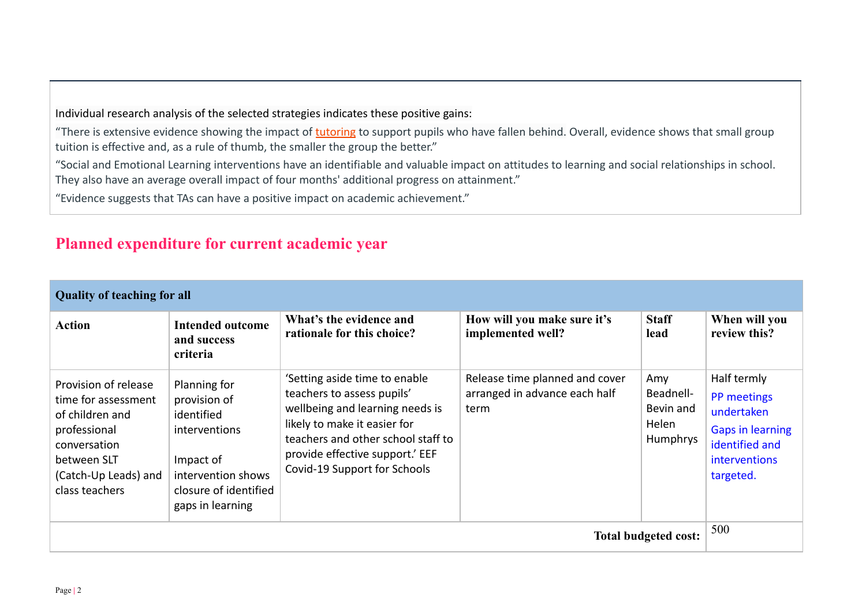Individual research analysis of the selected strategies indicates these positive gains:

"There is extensive evidence showing the impact of [tutoring](https://educationendowmentfoundation.org.uk/evidence-summaries/teaching-learning-toolkit/small-group-tuition/) to support pupils who have fallen behind. Overall, evidence shows that small group tuition is effective and, as a rule of thumb, the smaller the group the better."

"Social and Emotional Learning interventions have an identifiable and valuable impact on attitudes to learning and social relationships in school. They also have an average overall impact of four months' additional progress on attainment."

"Evidence suggests that TAs can have a positive impact on academic achievement."

## **Planned expenditure for current academic year**

| <b>Quality of teaching for all</b>                                                                                                                      |                                                                                                                                             |                                                                                                                                                                                                                                         |                                                                         |                                                    |                                                                                                                            |
|---------------------------------------------------------------------------------------------------------------------------------------------------------|---------------------------------------------------------------------------------------------------------------------------------------------|-----------------------------------------------------------------------------------------------------------------------------------------------------------------------------------------------------------------------------------------|-------------------------------------------------------------------------|----------------------------------------------------|----------------------------------------------------------------------------------------------------------------------------|
| <b>Action</b>                                                                                                                                           | <b>Intended outcome</b><br>and success<br>criteria                                                                                          | What's the evidence and<br>rationale for this choice?                                                                                                                                                                                   | How will you make sure it's<br>implemented well?                        | <b>Staff</b><br>lead                               | When will you<br>review this?                                                                                              |
| Provision of release<br>time for assessment<br>of children and<br>professional<br>conversation<br>between SLT<br>(Catch-Up Leads) and<br>class teachers | Planning for<br>provision of<br>identified<br>interventions<br>Impact of<br>intervention shows<br>closure of identified<br>gaps in learning | 'Setting aside time to enable<br>teachers to assess pupils'<br>wellbeing and learning needs is<br>likely to make it easier for<br>teachers and other school staff to<br>provide effective support.' EEF<br>Covid-19 Support for Schools | Release time planned and cover<br>arranged in advance each half<br>term | Amy<br>Beadnell-<br>Bevin and<br>Helen<br>Humphrys | Half termly<br>PP meetings<br>undertaken<br><b>Gaps in learning</b><br>identified and<br><i>interventions</i><br>targeted. |
| Total budgeted cost:                                                                                                                                    |                                                                                                                                             |                                                                                                                                                                                                                                         |                                                                         | 500                                                |                                                                                                                            |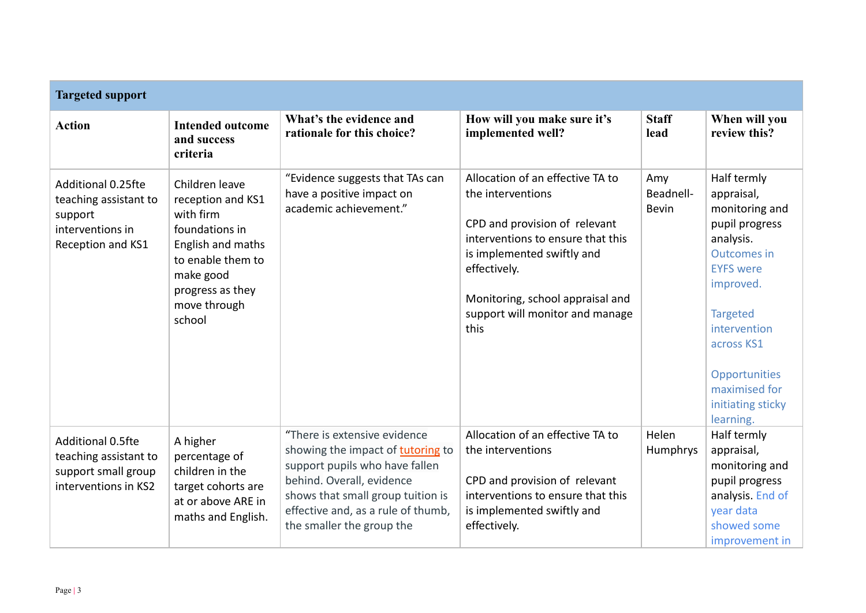| <b>Targeted support</b>                                                                         |                                                                                                                                                                         |                                                                                                                                                                                                                                          |                                                                                                                                                                                                                                                          |                                  |                                                                                                                                                                                                                                                        |
|-------------------------------------------------------------------------------------------------|-------------------------------------------------------------------------------------------------------------------------------------------------------------------------|------------------------------------------------------------------------------------------------------------------------------------------------------------------------------------------------------------------------------------------|----------------------------------------------------------------------------------------------------------------------------------------------------------------------------------------------------------------------------------------------------------|----------------------------------|--------------------------------------------------------------------------------------------------------------------------------------------------------------------------------------------------------------------------------------------------------|
| <b>Action</b>                                                                                   | <b>Intended outcome</b><br>and success<br>criteria                                                                                                                      | What's the evidence and<br>rationale for this choice?                                                                                                                                                                                    | How will you make sure it's<br>implemented well?                                                                                                                                                                                                         | <b>Staff</b><br>lead             | When will you<br>review this?                                                                                                                                                                                                                          |
| Additional 0.25fte<br>teaching assistant to<br>support<br>interventions in<br>Reception and KS1 | Children leave<br>reception and KS1<br>with firm<br>foundations in<br>English and maths<br>to enable them to<br>make good<br>progress as they<br>move through<br>school | "Evidence suggests that TAs can<br>have a positive impact on<br>academic achievement."                                                                                                                                                   | Allocation of an effective TA to<br>the interventions<br>CPD and provision of relevant<br>interventions to ensure that this<br>is implemented swiftly and<br>effectively.<br>Monitoring, school appraisal and<br>support will monitor and manage<br>this | Amy<br>Beadnell-<br><b>Bevin</b> | Half termly<br>appraisal,<br>monitoring and<br>pupil progress<br>analysis.<br><b>Outcomes in</b><br><b>EYFS</b> were<br>improved.<br><b>Targeted</b><br>intervention<br>across KS1<br>Opportunities<br>maximised for<br>initiating sticky<br>learning. |
| Additional 0.5fte<br>teaching assistant to<br>support small group<br>interventions in KS2       | A higher<br>percentage of<br>children in the<br>target cohorts are<br>at or above ARE in<br>maths and English.                                                          | "There is extensive evidence<br>showing the impact of tutoring to<br>support pupils who have fallen<br>behind. Overall, evidence<br>shows that small group tuition is<br>effective and, as a rule of thumb,<br>the smaller the group the | Allocation of an effective TA to<br>the interventions<br>CPD and provision of relevant<br>interventions to ensure that this<br>is implemented swiftly and<br>effectively.                                                                                | Helen<br>Humphrys                | Half termly<br>appraisal,<br>monitoring and<br>pupil progress<br>analysis. End of<br>year data<br>showed some<br>improvement in                                                                                                                        |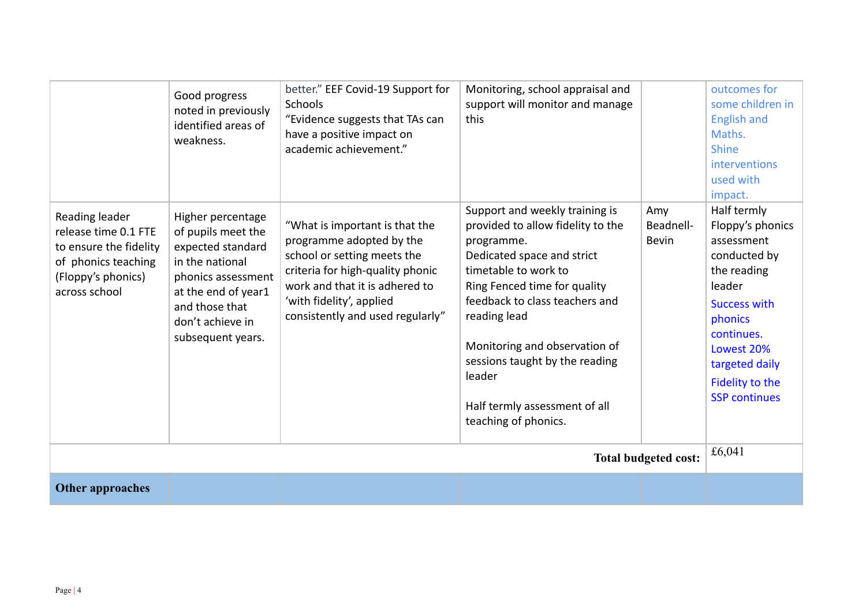|                                                                                                                                | Good progress<br>noted in previously<br>identified areas of<br>weakness.                                                                                                                | better." EEF Covid-19 Support for<br>Schools<br>"Evidence suggests that TAs can<br>have a positive impact on<br>academic achievement."                                                                                          | Monitoring, school appraisal and<br>support will monitor and manage<br>this                                                                                                                                                                                                                                                                                     |                                  | outcomes for<br>some children in<br><b>English and</b><br>Maths.<br><b>Shine</b><br><b>interventions</b><br>used with<br>impact.                                                                                  |
|--------------------------------------------------------------------------------------------------------------------------------|-----------------------------------------------------------------------------------------------------------------------------------------------------------------------------------------|---------------------------------------------------------------------------------------------------------------------------------------------------------------------------------------------------------------------------------|-----------------------------------------------------------------------------------------------------------------------------------------------------------------------------------------------------------------------------------------------------------------------------------------------------------------------------------------------------------------|----------------------------------|-------------------------------------------------------------------------------------------------------------------------------------------------------------------------------------------------------------------|
| Reading leader<br>release time 0.1 FTE<br>to ensure the fidelity<br>of phonics teaching<br>(Floppy's phonics)<br>across school | Higher percentage<br>of pupils meet the<br>expected standard<br>in the national<br>phonics assessment<br>at the end of year1<br>and those that<br>don't achieve in<br>subsequent years. | "What is important is that the<br>programme adopted by the<br>school or setting meets the<br>criteria for high-quality phonic<br>work and that it is adhered to<br>'with fidelity', applied<br>consistently and used regularly" | Support and weekly training is<br>provided to allow fidelity to the<br>programme.<br>Dedicated space and strict<br>timetable to work to<br>Ring Fenced time for quality<br>feedback to class teachers and<br>reading lead<br>Monitoring and observation of<br>sessions taught by the reading<br>leader<br>Half termly assessment of all<br>teaching of phonics. | Amy<br>Beadnell-<br><b>Bevin</b> | Half termly<br>Floppy's phonics<br>assessment<br>conducted by<br>the reading<br>leader<br><b>Success with</b><br>phonics<br>continues.<br>Lowest 20%<br>targeted daily<br>Fidelity to the<br><b>SSP continues</b> |
| <b>Total budgeted cost:</b>                                                                                                    |                                                                                                                                                                                         |                                                                                                                                                                                                                                 |                                                                                                                                                                                                                                                                                                                                                                 |                                  | £6,041                                                                                                                                                                                                            |
| <b>Other approaches</b>                                                                                                        |                                                                                                                                                                                         |                                                                                                                                                                                                                                 |                                                                                                                                                                                                                                                                                                                                                                 |                                  |                                                                                                                                                                                                                   |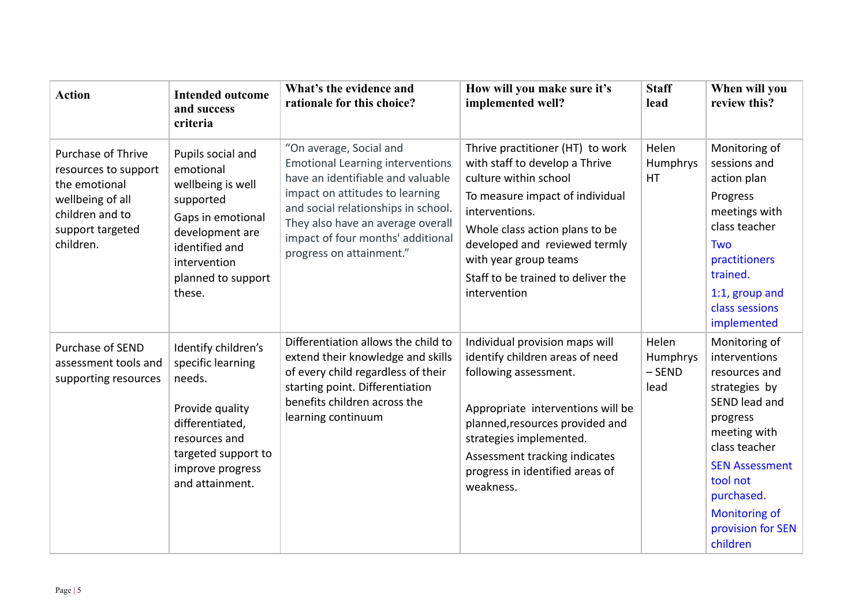| <b>Action</b>                                                                                                                       | <b>Intended outcome</b><br>and success<br>criteria                                                                                                                         | What's the evidence and<br>rationale for this choice?                                                                                                                                                                                                                                   | How will you make sure it's<br>implemented well?                                                                                                                                                                                                                                                   | <b>Staff</b><br>lead                  | When will you<br>review this?                                                                                                                                                                                                              |
|-------------------------------------------------------------------------------------------------------------------------------------|----------------------------------------------------------------------------------------------------------------------------------------------------------------------------|-----------------------------------------------------------------------------------------------------------------------------------------------------------------------------------------------------------------------------------------------------------------------------------------|----------------------------------------------------------------------------------------------------------------------------------------------------------------------------------------------------------------------------------------------------------------------------------------------------|---------------------------------------|--------------------------------------------------------------------------------------------------------------------------------------------------------------------------------------------------------------------------------------------|
| Purchase of Thrive<br>resources to support<br>the emotional<br>wellbeing of all<br>children and to<br>support targeted<br>children. | Pupils social and<br>emotional<br>wellbeing is well<br>supported<br>Gaps in emotional<br>development are<br>identified and<br>intervention<br>planned to support<br>these. | "On average, Social and<br><b>Emotional Learning interventions</b><br>have an identifiable and valuable<br>impact on attitudes to learning<br>and social relationships in school.<br>They also have an average overall<br>impact of four months' additional<br>progress on attainment." | Thrive practitioner (HT) to work<br>with staff to develop a Thrive<br>culture within school<br>To measure impact of individual<br>interventions.<br>Whole class action plans to be<br>developed and reviewed termly<br>with year group teams<br>Staff to be trained to deliver the<br>intervention | Helen<br>Humphrys<br>HT               | Monitoring of<br>sessions and<br>action plan<br>Progress<br>meetings with<br>class teacher<br><b>Two</b><br>practitioners<br>trained.<br>1:1, group and<br>class sessions<br>implemented                                                   |
| Purchase of SEND<br>assessment tools and<br>supporting resources                                                                    | Identify children's<br>specific learning<br>needs.<br>Provide quality<br>differentiated,<br>resources and<br>targeted support to<br>improve progress<br>and attainment.    | Differentiation allows the child to<br>extend their knowledge and skills<br>of every child regardless of their<br>starting point. Differentiation<br>benefits children across the<br>learning continuum                                                                                 | Individual provision maps will<br>identify children areas of need<br>following assessment.<br>Appropriate interventions will be<br>planned, resources provided and<br>strategies implemented.<br>Assessment tracking indicates<br>progress in identified areas of<br>weakness.                     | Helen<br>Humphrys<br>$-$ SEND<br>lead | Monitoring of<br>interventions<br>resources and<br>strategies by<br>SEND lead and<br>progress<br>meeting with<br>class teacher<br><b>SEN Assessment</b><br>tool not<br>purchased.<br><b>Monitoring of</b><br>provision for SEN<br>children |